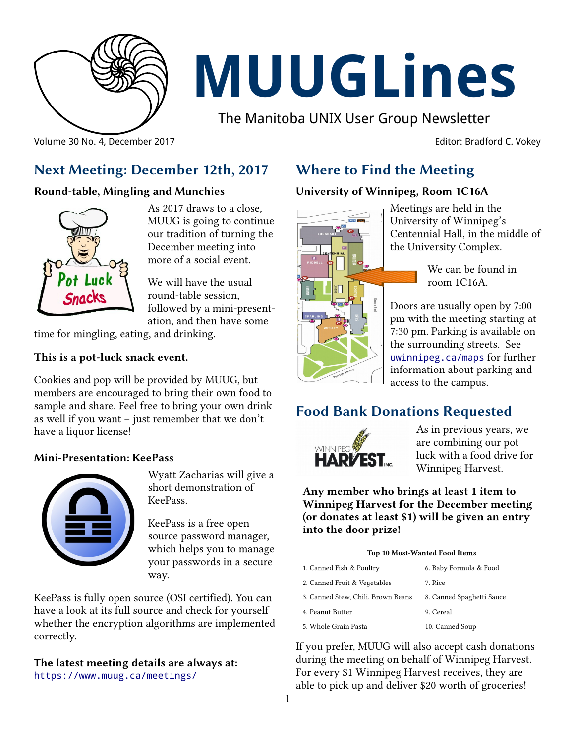

# **MUUGLines**

The Manitoba UNIX User Group Newsletter

### Volume 30 No. 4, December 2017 Editor: Bradford C. Vokey

# **Next Meeting: December 12th, 2017**

## **Round-table, Mingling and Munchies**



As 2017 draws to a close, MUUG is going to continue our tradition of turning the December meeting into more of a social event.

We will have the usual round-table session, followed by a mini-presentation, and then have some

time for mingling, eating, and drinking.

## **This is a pot-luck snack event.**

Cookies and pop will be provided by MUUG, but members are encouraged to bring their own food to sample and share. Feel free to bring your own drink as well if you want – just remember that we don't have a liquor license!

## **Mini-Presentation: KeePass**



Wyatt Zacharias will give a short demonstration of KeePass.

KeePass is a free open source password manager, which helps you to manage your passwords in a secure way.

KeePass is fully open source (OSI certified). You can have a look at its full source and check for yourself whether the encryption algorithms are implemented correctly.

**The latest meeting details are always at:** <https://www.muug.ca/meetings/>

# **Where to Find the Meeting**

## **University of Winnipeg, Room 1C16A**



Meetings are held in the University of Winnipeg's Centennial Hall, in the middle of the University Complex.

> We can be found in room 1C16A.

Doors are usually open by 7:00 pm with the meeting starting at 7:30 pm. Parking is available on the surrounding streets. See [uwinnipeg.ca/maps](http://www.uwinnipeg.ca/maps) for further information about parking and access to the campus.

# **Food Bank Donations Requested**



As in previous years, we are combining our pot luck with a food drive for Winnipeg Harvest.

**Any member who brings at least 1 item to Winnipeg Harvest for the December meeting (or donates at least \$1) will be given an entry into the door prize!**

#### **Top 10 Most-Wanted Food Items**

| 1. Canned Fish & Poultry           | 6. Baby Formula & Food    |
|------------------------------------|---------------------------|
| 2. Canned Fruit & Vegetables       | 7. Rice                   |
| 3. Canned Stew, Chili, Brown Beans | 8. Canned Spaghetti Sauce |
| 4. Peanut Butter                   | 9. Cereal                 |
| 5. Whole Grain Pasta               | 10. Canned Soup           |

If you prefer, MUUG will also accept cash donations during the meeting on behalf of Winnipeg Harvest. For every \$1 Winnipeg Harvest receives, they are able to pick up and deliver \$20 worth of groceries!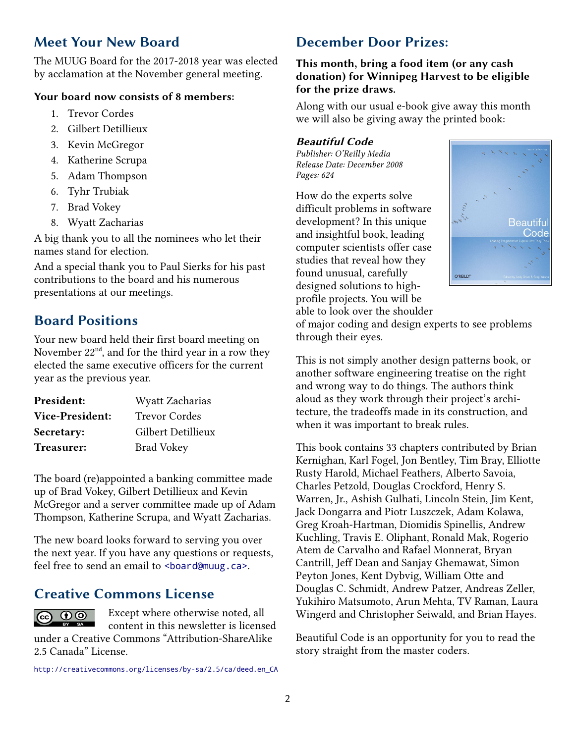# **Meet Your New Board**

The MUUG Board for the 2017-2018 year was elected by acclamation at the November general meeting.

#### **Your board now consists of 8 members:**

- 1. Trevor Cordes
- 2. Gilbert Detillieux
- 3. Kevin McGregor
- 4. Katherine Scrupa
- 5. Adam Thompson
- 6. Tyhr Trubiak
- 7. Brad Vokey
- 8. Wyatt Zacharias

A big thank you to all the nominees who let their names stand for election.

And a special thank you to Paul Sierks for his past contributions to the board and his numerous presentations at our meetings.

# **Board Positions**

Your new board held their first board meeting on November  $22<sup>nd</sup>$ , and for the third year in a row they elected the same executive officers for the current year as the previous year.

| President:             | Wyatt Zacharias      |
|------------------------|----------------------|
| <b>Vice-President:</b> | <b>Trevor Cordes</b> |
| Secretary:             | Gilbert Detillieux   |
| Treasurer:             | <b>Brad Vokey</b>    |

The board (re)appointed a banking committee made up of Brad Vokey, Gilbert Detillieux and Kevin McGregor and a server committee made up of Adam Thompson, Katherine Scrupa, and Wyatt Zacharias.

The new board looks forward to serving you over the next year. If you have any questions or requests, feel free to send an email to <br/>board@muug.ca>.

# **Creative Commons License**

Except where otherwise noted, all  $\odot$ content in this newsletter is licensed under a Creative Commons "Attribution-ShareAlike 2.5 Canada" License.

http:/[/creativecommons.org/licenses/by-sa/2.5/ca/deed.en\\_CA](http://creativecommons.org/licenses/by-sa/2.5/ca/deed.en_CA)

# **December Door Prizes:**

## **This month, bring a food item (or any cash donation) for Winnipeg Harvest to be eligible for the prize draws.**

Along with our usual e-book give away this month we will also be giving away the printed book:

### **Beautiful Code**

*Publisher: O'Reilly Media Release Date: December 2008 Pages: 624*

How do the experts solve difficult problems in software development? In this unique and insightful book, leading computer scientists offer case studies that reveal how they found unusual, carefully designed solutions to highprofile projects. You will be able to look over the shoulder



of major coding and design experts to see problems through their eyes.

This is not simply another design patterns book, or another software engineering treatise on the right and wrong way to do things. The authors think aloud as they work through their project's architecture, the tradeoffs made in its construction, and when it was important to break rules.

This book contains 33 chapters contributed by Brian Kernighan, Karl Fogel, Jon Bentley, Tim Bray, Elliotte Rusty Harold, Michael Feathers, Alberto Savoia, Charles Petzold, Douglas Crockford, Henry S. Warren, Jr., Ashish Gulhati, Lincoln Stein, Jim Kent, Jack Dongarra and Piotr Luszczek, Adam Kolawa, Greg Kroah-Hartman, Diomidis Spinellis, Andrew Kuchling, Travis E. Oliphant, Ronald Mak, Rogerio Atem de Carvalho and Rafael Monnerat, Bryan Cantrill, Jeff Dean and Sanjay Ghemawat, Simon Peyton Jones, Kent Dybvig, William Otte and Douglas C. Schmidt, Andrew Patzer, Andreas Zeller, Yukihiro Matsumoto, Arun Mehta, TV Raman, Laura Wingerd and Christopher Seiwald, and Brian Hayes.

Beautiful Code is an opportunity for you to read the story straight from the master coders.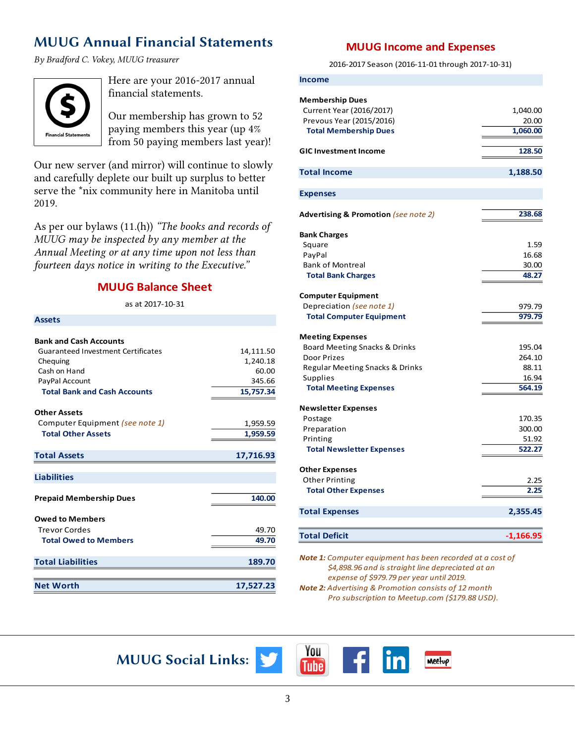# **MUUG Annual Financial Statements**

*By Bradford C. Vokey, MUUG treasurer*



Here are your 2016-2017 annual financial statements.

Our membership has grown to 52 paying members this year (up 4% from 50 paying members last year)!

Our new server (and mirror) will continue to slowly and carefully deplete our built up surplus to better serve the \*nix community here in Manitoba until 2019.

As per our bylaws (11.(h)) *"The books and records of MUUG may be inspected by any member at the Annual Meeting or at any time upon not less than fourteen days notice in writing to the Executive."*

## **MUUG Balance Sheet**

as at 2017-10-31

## **Assets**

| <b>Bank and Cash Accounts</b>             |           |
|-------------------------------------------|-----------|
| <b>Guaranteed Investment Certificates</b> | 14,111.50 |
| Chequing                                  | 1,240.18  |
| Cash on Hand                              | 60.00     |
| PayPal Account                            | 345.66    |
| <b>Total Bank and Cash Accounts</b>       | 15,757.34 |
| <b>Other Assets</b>                       |           |
| Computer Equipment (see note 1)           | 1,959.59  |
| <b>Total Other Assets</b>                 | 1,959.59  |
|                                           |           |
| <b>Total Assets</b>                       | 17,716.93 |
|                                           |           |
| <b>Liabilities</b>                        |           |
|                                           |           |
| <b>Prepaid Membership Dues</b>            | 140.00    |
| <b>Owed to Members</b>                    |           |
| <b>Trevor Cordes</b>                      | 49.70     |
| <b>Total Owed to Members</b>              | 49.70     |
| <b>Total Liabilities</b>                  | 189.70    |
| <b>Net Worth</b>                          | 17,527.23 |

## **MUUG Income and Expenses**

2016-2017 Season (2016-11-01 through 2017-10-31)

| <b>Income</b>                                                                                                  |                               |
|----------------------------------------------------------------------------------------------------------------|-------------------------------|
| <b>Membership Dues</b><br>Current Year (2016/2017)<br>Prevous Year (2015/2016)<br><b>Total Membership Dues</b> | 1,040.00<br>20.00<br>1,060.00 |
| <b>GIC Investment Income</b>                                                                                   | 128.50                        |
| <b>Total Income</b>                                                                                            | 1,188.50                      |
|                                                                                                                |                               |
| <b>Expenses</b>                                                                                                |                               |
| <b>Advertising &amp; Promotion (see note 2)</b>                                                                | 238.68                        |
| <b>Bank Charges</b>                                                                                            |                               |
| Square                                                                                                         | 1.59                          |
| PayPal                                                                                                         | 16.68                         |
| <b>Bank of Montreal</b>                                                                                        | 30.00                         |
| <b>Total Bank Charges</b>                                                                                      | 48.27                         |
| <b>Computer Equipment</b>                                                                                      |                               |
| Depreciation (see note 1)                                                                                      | 979.79                        |
| <b>Total Computer Equipment</b>                                                                                | 979.79                        |
| <b>Meeting Expenses</b>                                                                                        |                               |
| Board Meeting Snacks & Drinks                                                                                  | 195.04                        |
| Door Prizes                                                                                                    | 264.10                        |
| Regular Meeting Snacks & Drinks                                                                                | 88.11                         |
| <b>Supplies</b>                                                                                                | 16.94                         |
| <b>Total Meeting Expenses</b>                                                                                  | 564.19                        |
| <b>Newsletter Expenses</b>                                                                                     |                               |
| Postage                                                                                                        | 170.35                        |
| Preparation                                                                                                    | 300.00                        |
| Printing                                                                                                       | 51.92                         |
| <b>Total Newsletter Expenses</b>                                                                               | 522.27                        |
| <b>Other Expenses</b>                                                                                          |                               |
| <b>Other Printing</b>                                                                                          | 2.25                          |
| <b>Total Other Expenses</b>                                                                                    | 2.25                          |
| <b>Total Expenses</b>                                                                                          | 2,355.45                      |
| <b>Total Deficit</b>                                                                                           | $-1,166.95$                   |

*Note 1: Computer equipment has been recorded at a cost of \$4,898.96 and is straight line depreciated at an expense of \$979.79 per year until 2019. Note 2: Advertising & Promotion consists of 12 month Pro subscription to Meetup.com (\$179.88 USD).*

**Meetup** 

**MUUG Social Links:**